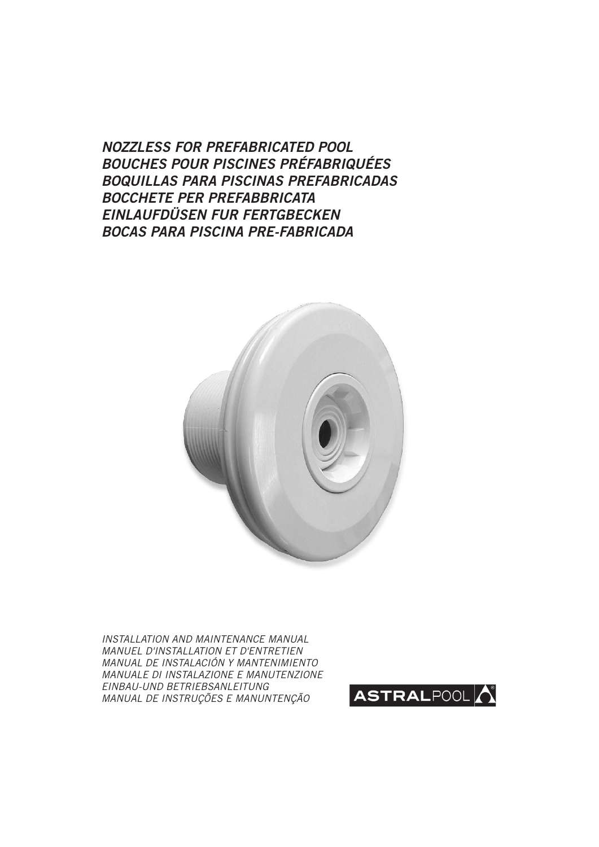*NOZZLESS FOR PREFABRICATED POOL BOUCHES POUR PISCINES PRÉFABRIQUÉES BOQUILLAS PARA PISCINAS PREFABRICADAS BOCCHETE PER PREFABBRICATA EINLAUFDÜSEN FUR FERTGBECKEN BOCAS PARA PISCINA PRE-FABRICADA*



INSTALLATION AND MAINTENANCE MANUAL MANUEL D'INSTALLATION ET D'ENTRETIEN MANUAL DE INSTALACIÓN Y MANTENIMIENTO MANUALE DI INSTALAZIONE E MANUTENZIONE EINBAU-UND BETRIEBSANLEITUNG MANUAL DE INSTRUÇÕES E MANUNTENÇÃO

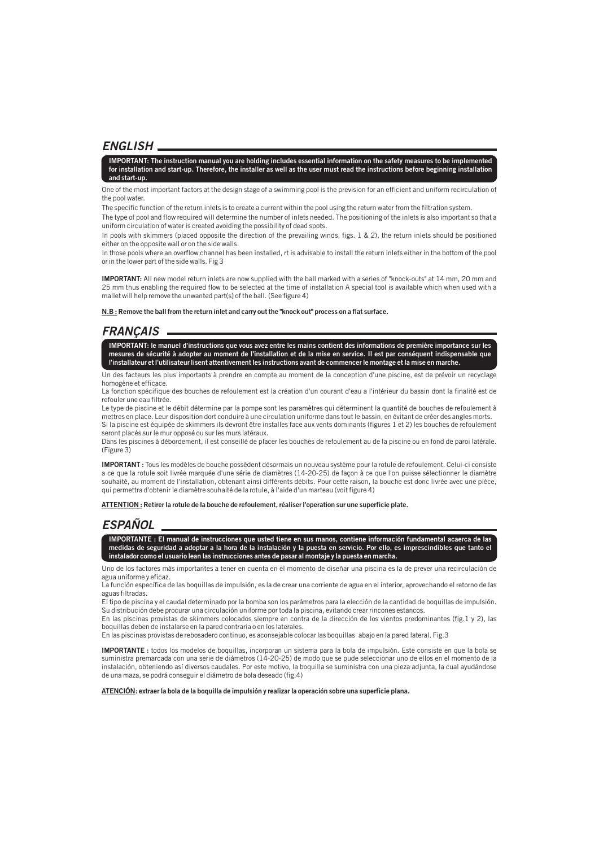### *ENGLISH*

**IMPORTANT: The instruction manual you are holding includes essential information on the safety measures to be implemented for installation and start-up. Therefore, the installer as well as the user must read the instructions before beginning installation and start-up.**

One of the most important factors at the design stage of a swimming pool is the prevision for an efficient and uniform recirculation of the pool water.

The specific function of the return inlets is to create a current within the pool using the return water from the filtration system.

The type of pool and flow required will determine the number of inlets needed. The positioning of the inlets is also important so that a uniform circulation of water is created avoiding the possibility of dead spots.

In pools with skimmers (placed opposite the direction of the prevailing winds, figs. 1  $\&$  2), the return inlets should be positioned either on the opposite wall or on the side walls.

In those pools where an overflow channel has been installed, rt is advisable to install the return inlets either in the bottom of the pool or in the lower part of the side walls. Fig 3

**IMPORTANT:** All new model return inlets are now supplied with the ball marked with a series of "knock-outs" at 14 mm, 20 mm and 25 mm thus enabling the required flow to be selected at the time of installation A special tool is available which when used with a mallet will help remove the unwanted part(s) of the ball. (See figure 4)

**N.B : Remove the ball from the return inlet and carry out the "knock out" process on a flat surface.**

## *FRANÇAIS*

**IMPORTANT: le manuel d'instructions que vous avez entre les mains contient des informations de première importance sur les mesures de sécurité à adopter au moment de l'installation et de la mise en service. Il est par conséquent indispensable que l'installateur et l'utilisateur lisent attentivement les instructions avant de commencer le montage et la mise en marche.**

Un des facteurs les plus importants à prendre en compte au moment de la conception d'une piscine, est de prévoir un recyclage homogène et efficace.

La fonction spécifique des bouches de refoulement est la création d'un courant d'eau a l'intérieur du bassin dont la finalité est de refouler une eau filtrée.

Le type de piscine et le débit détermine par la pompe sont les paramètres qui déterminent la quantité de bouches de refoulement à mettres en place. Leur disposition dort conduire à une circulation uniforme dans tout le bassin, en évitant de créer des angles morts. Si la piscine est équipée de skimmers ils devront être installes face aux vents dominants (figures 1 et 2) les bouches de refoulement seront placés sur le mur opposé ou sur les murs latéraux.

Dans les piscines à débordement, il est conseillé de placer les bouches de refoulement au de la piscine ou en fond de paroi latérale. (Figure 3)

**IMPORTANT :** Tous les modèles de bouche possèdent désormais un nouveau système pour la rotule de refoulement. Celui-ci consiste a ce que la rotule soit livrée marquée d'une série de diamètres (14-20-25) de façon à ce que l'on puisse sélectionner le diamètre souhaité, au moment de l'installation, obtenant ainsi différents débits. Pour cette raison, la bouche est donc livrée avec une pièce, qui permettra d'obtenir le diamètre souhaité de la rotule, à I'aide d'un marteau (voit figure 4)

**ATTENTION : Retirer la rotule de la bouche de refoulement, réaliser l'operation sur une superficie plate.**

# *ESPAÑOL*

**IMPORTANTE : El manual de instrucciones que usted tiene en sus manos, contiene información fundamental acaerca de las medidas de seguridad a adoptar a la hora de la instalación y la puesta en servicio. Por ello, es imprescindibles que tanto el instalador como el usuario lean las instrucciones antes de pasar al montaje y la puesta en marcha.**

Uno de los factores más importantes a tener en cuenta en el momento de diseñar una piscina es la de prever una recirculación de agua uniforme y eficaz.

La función específica de las boquillas de impulsión, es la de crear una corriente de agua en el interior, aprovechando el retorno de las aguas filtradas.

El tipo de piscina y el caudal determinado por la bomba son los parámetros para la elección de la cantidad de boquillas de impulsión. Su distribución debe procurar una circulación uniforme por toda la piscina, evitando crear rincones estancos.

En las piscinas provistas de skimmers colocados siempre en contra de la dirección de los vientos predominantes (fig.1 y 2), las boquillas deben de instalarse en la pared contraria o en los laterales.

En las piscinas provistas de rebosadero continuo, es aconsejable colocar las boquillas abajo en la pared lateral. Fig.3

**IMPORTANTE :** todos los modelos de boquillas, incorporan un sistema para la bola de impulsión. Este consiste en que la bola se suministra premarcada con una serie de diámetros (14-20-25) de modo que se pude seleccionar uno de ellos en el momento de la instalación, obteniendo así diversos caudales. Por este motivo, la boquilla se suministra con una pieza adjunta, la cual ayudándose de una maza, se podrá conseguir el diámetro de bola deseado (fig.4)

**ATENCIÓN: extraer la bola de la boquilla de impulsión y realizar la operación sobre una superficie plana.**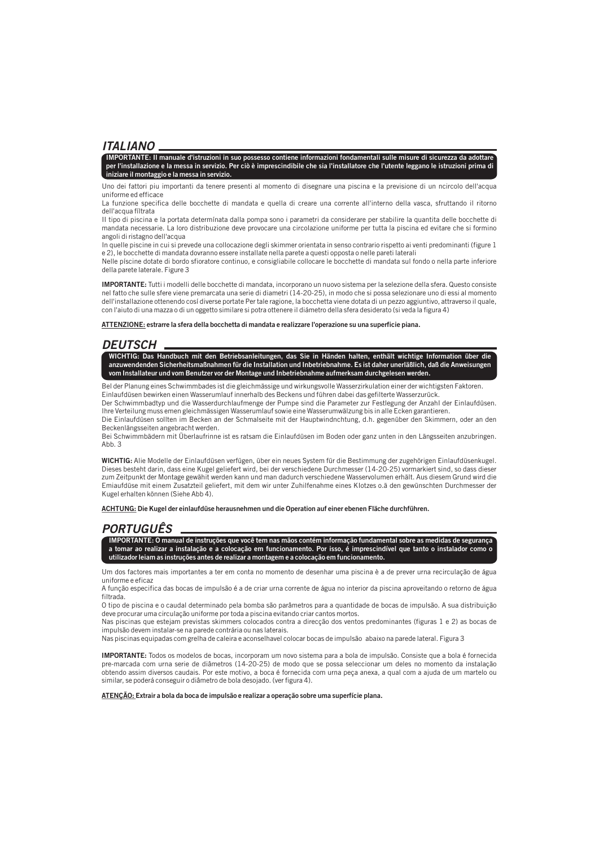#### *ITALIANO*

**IMPORTANTE: Il manuale d'istruzioni in suo possesso contiene informazioni fondamentali sulle misure di sicurezza da adottare per l'installazione e la messa in servizio. Per ciò è imprescindibile che sia l'installatore che l'utente leggano le istruzioni prima di iniziare il montaggio e la messa in servizio.**

Uno dei fattori piu importanti da tenere presenti al momento di disegnare una piscina e la previsione di un ncircolo dell'acqua uniforme ed efficace

La funzione specifica delle bocchette di mandata e quella di creare una corrente all'interno della vasca, sfruttando il ritorno dell'acqua fíltrata

II tipo di piscina e la portata determínata dalla pompa sono i parametri da considerare per stabilire la quantita delle bocchette di mandata necessarie. La loro distribuzione deve provocare una circolazione uniforme per tutta la piscina ed evitare che si formino angoli di ristagno dell'acqua

In quelle piscine in cui si prevede una collocazione degli skimmer orientata in senso contrario rispetto ai venti predominanti (figure 1 e 2), le bocchette di mandata dovranno essere installate nella parete a questi opposta o nelle pareti laterali

Nelle píscine dotate di bordo sfioratore continuo, e consigliabile collocare le bocchette di mandata sul fondo o nella parte inferiore della parete laterale. Figure 3

**IMPORTANTE:** Tutti i modelli delle bocchette di mandata, incorporano un nuovo sistema per la selezione della sfera. Questo consiste nel fatto che sulle sfere viene premarcata una serie di diametri (14-20-25), in modo che si possa selezionare uno di essi al momento dell'installazione ottenendo cosí diverse portate Per tale ragione, la bocchetta viene dotata di un pezzo aggiuntivo, attraverso il quale, con l'aiuto di una mazza o di un oggetto similare si potra ottenere il diámetro della sfera desiderato (si veda la figura 4)

**ATTENZIONE: estrarre la sfera della bocchetta di mandata e realizzare l'operazione su una superficie piana.**

#### *DEUTSCH*

**WICHTIG: Das Handbuch mit den Betriebsanleitungen, das Sie in Händen halten, enthält wichtige Information über die anzuwendenden Sicherheitsmaßnahmen für die Installation und Inbetriebnahme. Es ist daher unerläßlich, daß die Anweisungen vom Installateur und vom Benutzer vor der Montage und Inbetriebnahme aufmerksam durchgelesen werden.**

Bel der Planung eines Schwimmbades ist die gleichmässige und wirkungsvolle Wasserzirkulation einer der wichtigsten Faktoren. Einlaufdüsen bewirken einen Wasserumlauf innerhalb des Beckens und führen dabei das gefilterte Wasserzurück.

Der Schwimmbadtyp und die Wasserdurchlaufmenge der Pumpe sind die Parameter zur Festlegung der AnzahI der Einlaufdüsen. Ihre Verteilung muss emen gleichmässigen Wasserumlauf sowie eine Wasserumwälzung bis in alle Ecken garantieren.

Die Einlaufdüsen sollten im Becken an der Schmalseite mit der Hauptwindnchtung, d.h. gegenüber den Skimmern, oder an den Beckenlängsseiten angebracht werden.

Bei Schwimmbädern mit Überlaufrinne ist es ratsam die Einlaufdüsen im Boden oder ganz unten in den Längsseiten anzubringen. Abb. 3

**WICHTIG:** Alie Modelle der Einlaufdüsen verfügen, über ein neues System für die Bestimmung der zugehörigen Einlaufdüsenkugel. Dieses besteht darin, dass eine Kugel geliefert wird, bei der verschiedene Durchmesser (14-20-25) vormarkiert sind, so dass dieser zum Zeitpunkt der Montage gewähit werden kann und man dadurch verschiedene Wasservolumen erhält. Aus diesem Grund wird die Emiaufdüse mit einem Zusatzteil geliefert, mit dem wir unter Zuhilfenahme eines KIotzes o.ä den gewünschten Durchmesser der Kugel erhalten können (Siehe Abb 4).

**ACHTUNG: Die Kugel der einlaufdüse herausnehmen und die Operation auf einer ebenen Fläche durchführen.**

#### *PORTUGUÊS*

**IMPORTANTE: O manual de instruções que você tem nas mãos contém informação fundamental sobre as medidas de segurança a tomar ao realizar a instalação e a colocação em funcionamento. Por isso, é imprescindível que tanto o instalador como o utilizador leiam as instruções antes de realizar a montagem e a colocação em funcionamento.**

Um dos factores mais importantes a ter em conta no momento de desenhar uma piscina è a de prever urna recirculação de água uniforme e eficaz

A função especifica das bocas de impulsão é a de criar urna corrente de água no interior da piscina aproveitando o retorno de água filtrada.

O tipo de piscina e o caudal determinado pela bomba são parâmetros para a quantidade de bocas de impulsão. A sua distribuição deve procurar uma circulação uniforme por toda a piscina evitando criar cantos mortos.

Nas piscinas que estejam previstas skimmers colocados contra a direcção dos ventos predominantes (figuras 1 e 2) as bocas de impulsão devem instalar-se na parede contrária ou nas laterais.

Nas piscinas equipadas com grelha de caleira e aconselhavel colocar bocas de impulsão abaixo na parede lateral. Figura 3

**IMPORTANTE:** Todos os modelos de bocas, incorporam um novo sistema para a bola de impulsão. Consiste que a bola é fornecida pre-marcada com urna serie de diâmetros (14-20-25) de modo que se possa seleccionar um deles no momento da instalação obtendo assim diversos caudais. Por este motivo, a boca é fornecida com urna peça anexa, a qual com a ajuda de um martelo ou similar, se poderá conseguir o diâmetro de bola desojado. (ver figura 4).

**ATENÇÃO: Extrair a bola da boca de impulsão e realizar a operação sobre uma superfície plana.**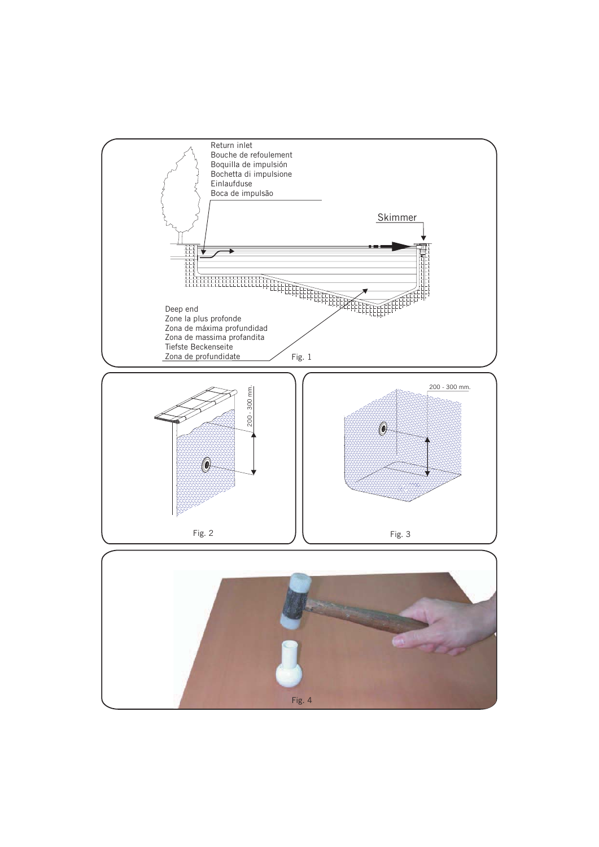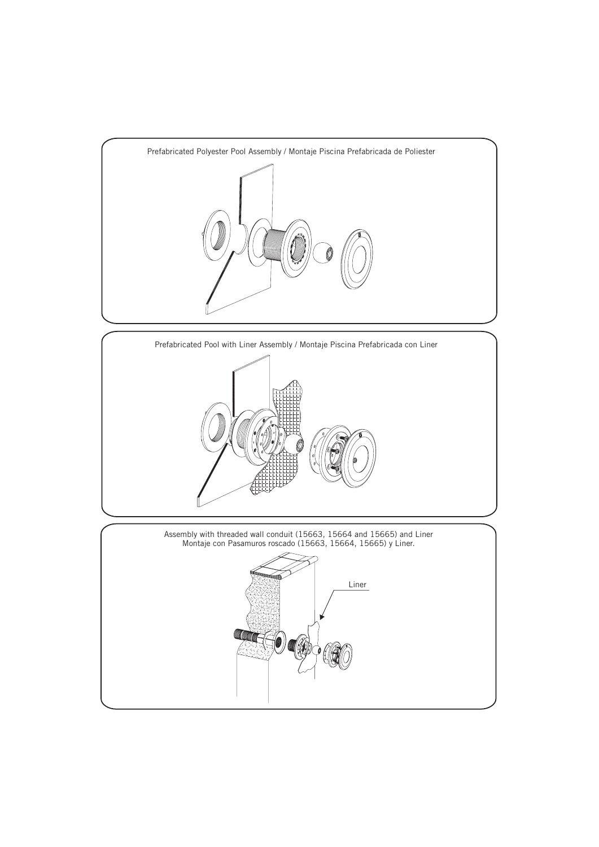